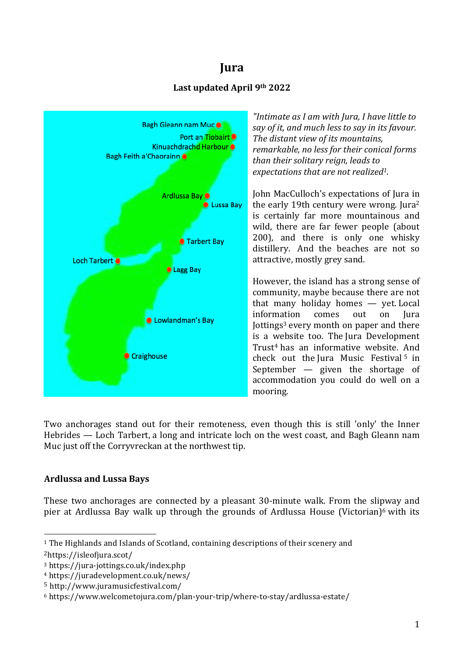# **Jura**

## **Last updated April 9th 2022**



*"Intimate as I am with Jura, I have little to say of it, and much less to say in its favour. The distant view of its mountains, remarkable, no less for their conical forms than their solitary reign, leads to expectations that are not realized1.*

John MacCulloch's expectations of Jura in the early 19th century were wrong. Jura2 is certainly far more mountainous and wild, there are far fewer people (about 200), and there is only one whisky distillery. And the beaches are not so attractive, mostly grey sand.

However, the island has a strong sense of community, maybe because there are not that many holiday homes — yet. Local information comes out on Jura Jottings<sup>3</sup> every month on paper and there is a website too. The Jura Development Trust4 has an informative website. And check out the Jura Music Festival <sup>5</sup> in September — given the shortage of accommodation you could do well on a mooring.

Two anchorages stand out for their remoteness, even though this is still 'only' the Inner Hebrides — Loch Tarbert, a long and intricate loch on the west coast, and Bagh Gleann nam Muc just off the Corryvreckan at the northwest tip.

## **Ardlussa and Lussa Bays**

 

These two anchorages are connected by a pleasant 30-minute walk. From the slipway and pier at Ardlussa Bay walk up through the grounds of Ardlussa House (Victorian)<sup>6</sup> with its

<sup>1</sup> The Highlands and Islands of Scotland, containing descriptions of their scenery and

<sup>2</sup>https://isleofjura.scot/

<sup>3</sup> https://jura-jottings.co.uk/index.php

<sup>4</sup> https://juradevelopment.co.uk/news/

<sup>5</sup> http://www.juramusicfestival.com/

<sup>6</sup> https://www.welcometojura.com/plan-your-trip/where-to-stay/ardlussa-estate/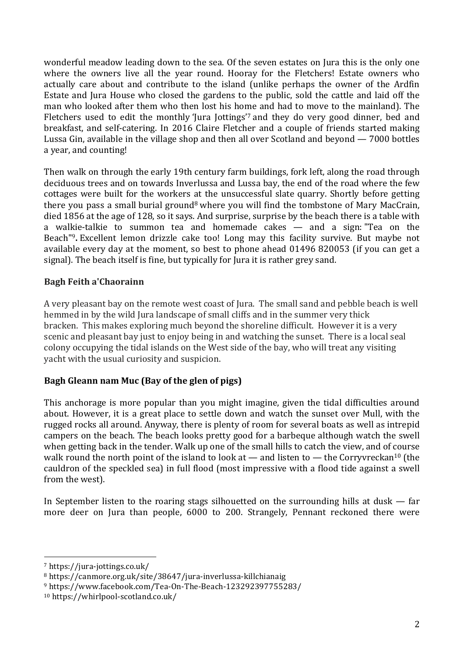wonderful meadow leading down to the sea. Of the seven estates on Jura this is the only one where the owners live all the year round. Hooray for the Fletchers! Estate owners who actually care about and contribute to the island (unlike perhaps the owner of the Ardfin Estate and Jura House who closed the gardens to the public, sold the cattle and laid off the man who looked after them who then lost his home and had to move to the mainland). The Fletchers used to edit the monthly 'Jura Jottings'7 and they do very good dinner, bed and breakfast, and self-catering. In 2016 Claire Fletcher and a couple of friends started making Lussa Gin, available in the village shop and then all over Scotland and beyond — 7000 bottles a year, and counting!

Then walk on through the early 19th century farm buildings, fork left, along the road through deciduous trees and on towards Inverlussa and Lussa bay, the end of the road where the few cottages were built for the workers at the unsuccessful slate quarry. Shortly before getting there you pass a small burial ground<sup>8</sup> where you will find the tombstone of Mary MacCrain, died 1856 at the age of 128, so it says. And surprise, surprise by the beach there is a table with a walkie-talkie to summon tea and homemade cakes — and a sign: "Tea on the Beach"9**.** Excellent lemon drizzle cake too! Long may this facility survive. But maybe not available every day at the moment, so best to phone ahead 01496 820053 (if you can get a signal). The beach itself is fine, but typically for Jura it is rather grey sand.

#### **Bagh Feith a'Chaorainn**

A very pleasant bay on the remote west coast of Jura. The small sand and pebble beach is well hemmed in by the wild Jura landscape of small cliffs and in the summer very thick bracken. This makes exploring much beyond the shoreline difficult. However it is a very scenic and pleasant bay just to enjoy being in and watching the sunset. There is a local seal colony occupying the tidal islands on the West side of the bay, who will treat any visiting yacht with the usual curiosity and suspicion.

## **Bagh Gleann nam Muc (Bay of the glen of pigs)**

This anchorage is more popular than you might imagine, given the tidal difficulties around about. However, it is a great place to settle down and watch the sunset over Mull, with the rugged rocks all around. Anyway, there is plenty of room for several boats as well as intrepid campers on the beach. The beach looks pretty good for a barbeque although watch the swell when getting back in the tender. Walk up one of the small hills to catch the view, and of course walk round the north point of the island to look at — and listen to — the Corryvreckan<sup>10</sup> (the cauldron of the speckled sea) in full flood (most impressive with a flood tide against a swell from the west).

In September listen to the roaring stags silhouetted on the surrounding hills at dusk — far more deer on Jura than people, 6000 to 200. Strangely, Pennant reckoned there were

 <sup>7</sup> https://jura-jottings.co.uk/

<sup>8</sup> https://canmore.org.uk/site/38647/jura-inverlussa-killchianaig

<sup>9</sup> https://www.facebook.com/Tea-On-The-Beach-123292397755283/

<sup>10</sup> https://whirlpool-scotland.co.uk/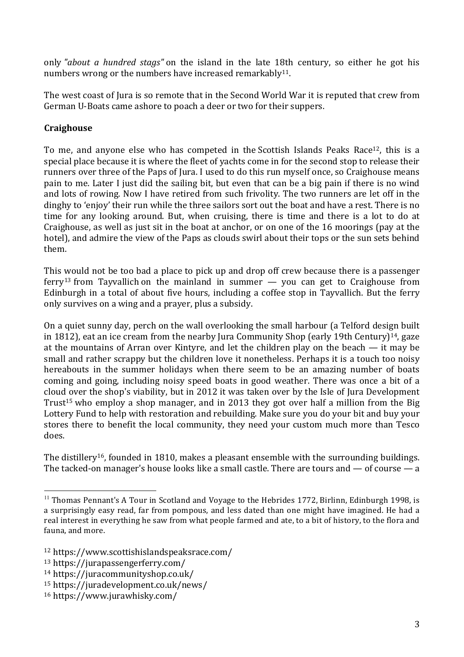only *"about a hundred stags"* on the island in the late 18th century, so either he got his numbers wrong or the numbers have increased remarkably<sup>11</sup>.

The west coast of Jura is so remote that in the Second World War it is reputed that crew from German U-Boats came ashore to poach a deer or two for their suppers.

## **Craighouse**

To me, and anyone else who has competed in the Scottish Islands Peaks Race<sup>12</sup>, this is a special place because it is where the fleet of yachts come in for the second stop to release their runners over three of the Paps of Jura. I used to do this run myself once, so Craighouse means pain to me. Later I just did the sailing bit, but even that can be a big pain if there is no wind and lots of rowing. Now I have retired from such frivolity. The two runners are let off in the dinghy to 'enjoy' their run while the three sailors sort out the boat and have a rest. There is no time for any looking around. But, when cruising, there is time and there is a lot to do at Craighouse, as well as just sit in the boat at anchor, or on one of the 16 moorings (pay at the hotel), and admire the view of the Paps as clouds swirl about their tops or the sun sets behind them.

This would not be too bad a place to pick up and drop off crew because there is a passenger ferry<sup>13</sup> from Tayvallich on the mainland in summer  $-$  you can get to Craighouse from Edinburgh in a total of about five hours, including a coffee stop in Tayvallich. But the ferry only survives on a wing and a prayer, plus a subsidy.

On a quiet sunny day, perch on the wall overlooking the small harbour (a Telford design built in 1812), eat an ice cream from the nearby Jura Community Shop (early 19th Century)<sup>14</sup>, gaze at the mountains of Arran over Kintyre, and let the children play on the beach — it may be small and rather scrappy but the children love it nonetheless. Perhaps it is a touch too noisy hereabouts in the summer holidays when there seem to be an amazing number of boats coming and going, including noisy speed boats in good weather. There was once a bit of a cloud over the shop's viability, but in 2012 it was taken over by the Isle of Jura Development Trust<sup>15</sup> who employ a shop manager, and in 2013 they got over half a million from the Big Lottery Fund to help with restoration and rebuilding. Make sure you do your bit and buy your stores there to benefit the local community, they need your custom much more than Tesco does.

The distillery<sup>16</sup>, founded in 1810, makes a pleasant ensemble with the surrounding buildings. The tacked-on manager's house looks like a small castle. There are tours and — of course — a

 $11$  Thomas Pennant's A Tour in Scotland and Voyage to the Hebrides 1772, Birlinn, Edinburgh 1998, is a surprisingly easy read, far from pompous, and less dated than one might have imagined. He had a real interest in everything he saw from what people farmed and ate, to a bit of history, to the flora and fauna, and more.

<sup>12</sup> https://www.scottishislandspeaksrace.com/

<sup>13</sup> https://jurapassengerferry.com/

<sup>14</sup> https://juracommunityshop.co.uk/

<sup>15</sup> https://juradevelopment.co.uk/news/

<sup>16</sup> https://www.jurawhisky.com/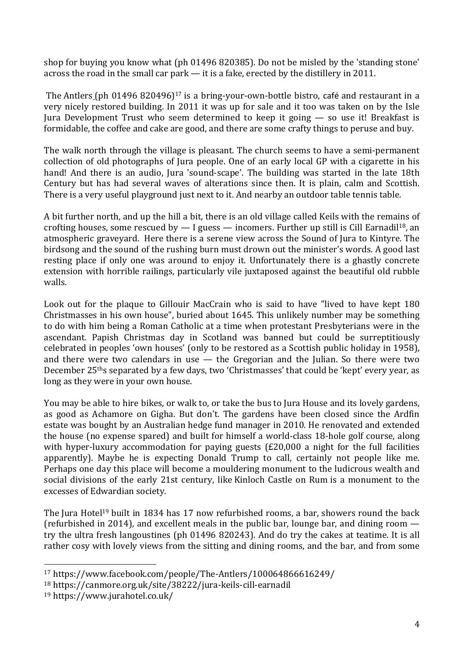shop for buying you know what (ph 01496 820385). Do not be misled by the 'standing stone' across the road in the small car park — it is a fake, erected by the distillery in 2011.

The Antlers (ph 01496 820496)<sup>17</sup> is a bring-your-own-bottle bistro, café and restaurant in a very nicely restored building. In 2011 it was up for sale and it too was taken on by the Isle Jura Development Trust who seem determined to keep it going — so use it! Breakfast is formidable, the coffee and cake are good, and there are some crafty things to peruse and buy.

The walk north through the village is pleasant. The church seems to have a semi-permanent collection of old photographs of Jura people. One of an early local GP with a cigarette in his hand! And there is an audio, Jura 'sound-scape'. The building was started in the late 18th Century but has had several waves of alterations since then. It is plain, calm and Scottish. There is a very useful playground just next to it. And nearby an outdoor table tennis table.

A bit further north, and up the hill a bit, there is an old village called Keils with the remains of crofting houses, some rescued by  $-$  I guess  $-$  incomers. Further up still is Cill Earnadil<sup>18</sup>, an atmospheric graveyard. Here there is a serene view across the Sound of Jura to Kintyre. The birdsong and the sound of the rushing burn must drown out the minister's words. A good last resting place if only one was around to enjoy it. Unfortunately there is a ghastly concrete extension with horrible railings, particularly vile juxtaposed against the beautiful old rubble walls.

Look out for the plaque to Gillouir MacCrain who is said to have "lived to have kept 180 Christmasses in his own house", buried about 1645. This unlikely number may be something to do with him being a Roman Catholic at a time when protestant Presbyterians were in the ascendant. Papish Christmas day in Scotland was banned but could be surreptitiously celebrated in peoples 'own houses' (only to be restored as a Scottish public holiday in 1958), and there were two calendars in use — the Gregorian and the Julian. So there were two December 25ths separated by a few days, two 'Christmasses' that could be 'kept' every year, as long as they were in your own house.

You may be able to hire bikes, or walk to, or take the bus to Jura House and its lovely gardens, as good as Achamore on Gigha. But don't. The gardens have been closed since the Ardfin estate was bought by an Australian hedge fund manager in 2010. He renovated and extended the house (no expense spared) and built for himself a world-class 18-hole golf course, along with hyper-luxury accommodation for paying guests (£20,000 a night for the full facilities apparently). Maybe he is expecting Donald Trump to call, certainly not people like me. Perhaps one day this place will become a mouldering monument to the ludicrous wealth and social divisions of the early 21st century, like Kinloch Castle on Rum is a monument to the excesses of Edwardian society.

The Jura Hotel<sup>19</sup> built in 1834 has 17 now refurbished rooms, a bar, showers round the back (refurbished in 2014), and excellent meals in the public bar, lounge bar, and dining room try the ultra fresh langoustines (ph 01496 820243). And do try the cakes at teatime. It is all rather cosy with lovely views from the sitting and dining rooms, and the bar, and from some

<sup>17</sup> https://www.facebook.com/people/The-Antlers/100064866616249/

<sup>18</sup> https://canmore.org.uk/site/38222/jura-keils-cill-earnadil

<sup>19</sup> https://www.jurahotel.co.uk/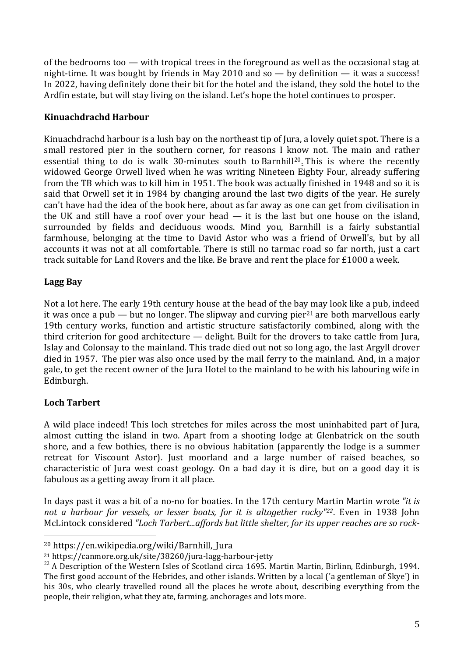of the bedrooms too — with tropical trees in the foreground as well as the occasional stag at night-time. It was bought by friends in May 2010 and so — by definition — it was a success! In 2022, having definitely done their bit for the hotel and the island, they sold the hotel to the Ardfin estate, but will stay living on the island. Let's hope the hotel continues to prosper.

## **Kinuachdrachd Harbour**

Kinuachdrachd harbour is a lush bay on the northeast tip of Jura, a lovely quiet spot. There is a small restored pier in the southern corner, for reasons I know not. The main and rather essential thing to do is walk 30-minutes south to Barnhill<sup>20</sup>. This is where the recently widowed George Orwell lived when he was writing Nineteen Eighty Four, already suffering from the TB which was to kill him in 1951. The book was actually finished in 1948 and so it is said that Orwell set it in 1984 by changing around the last two digits of the year. He surely can't have had the idea of the book here, about as far away as one can get from civilisation in the UK and still have a roof over your head  $-$  it is the last but one house on the island, surrounded by fields and deciduous woods. Mind you, Barnhill is a fairly substantial farmhouse, belonging at the time to David Astor who was a friend of Orwell's, but by all accounts it was not at all comfortable. There is still no tarmac road so far north, just a cart track suitable for Land Rovers and the like. Be brave and rent the place for £1000 a week.

## **Lagg Bay**

Not a lot here. The early 19th century house at the head of the bay may look like a pub, indeed it was once a pub — but no longer. The slipway and curving pier<sup>21</sup> are both marvellous early 19th century works, function and artistic structure satisfactorily combined, along with the third criterion for good architecture — delight. Built for the drovers to take cattle from Jura, Islay and Colonsay to the mainland. This trade died out not so long ago, the last Argyll drover died in 1957. The pier was also once used by the mail ferry to the mainland. And, in a major gale, to get the recent owner of the Jura Hotel to the mainland to be with his labouring wife in Edinburgh.

## **Loch Tarbert**

A wild place indeed! This loch stretches for miles across the most uninhabited part of Jura, almost cutting the island in two. Apart from a shooting lodge at Glenbatrick on the south shore, and a few bothies, there is no obvious habitation (apparently the lodge is a summer retreat for Viscount Astor). Just moorland and a large number of raised beaches, so characteristic of Jura west coast geology. On a bad day it is dire, but on a good day it is fabulous as a getting away from it all place.

In days past it was a bit of a no-no for boaties. In the 17th century Martin Martin wrote *"it is not a harbour for vessels, or lesser boats, for it is altogether rocky"22*. Even in 1938 John McLintock considered *"Loch Tarbert...affords but little shelter, for its upper reaches are so rock-*

<sup>20</sup> https://en.wikipedia.org/wiki/Barnhill,\_Jura

<sup>21</sup> https://canmore.org.uk/site/38260/jura-lagg-harbour-jetty

 $^{22}$  A Description of the Western Isles of Scotland circa 1695. Martin Martin, Birlinn, Edinburgh, 1994. The first good account of the Hebrides, and other islands. Written by a local ('a gentleman of Skye') in his 30s, who clearly travelled round all the places he wrote about, describing everything from the people, their religion, what they ate, farming, anchorages and lots more.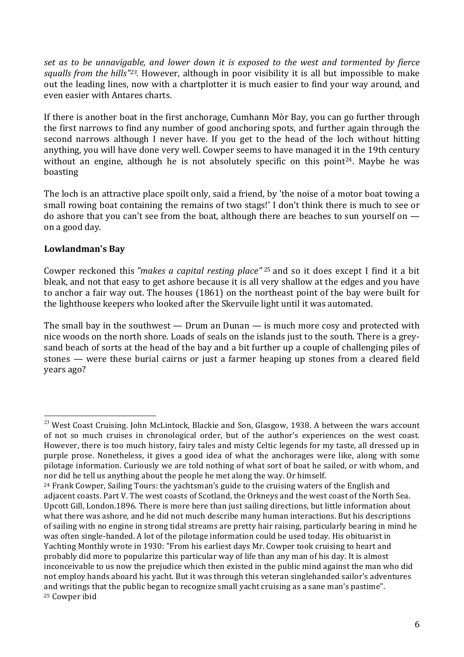*set as to be unnavigable, and lower down it is exposed to the west and tormented by fierce squalls from the hills"23.* However, although in poor visibility it is all but impossible to make out the leading lines, now with a chartplotter it is much easier to find your way around, and even easier with Antares charts.

If there is another boat in the first anchorage, Cumhann Mòr Bay, you can go further through the first narrows to find any number of good anchoring spots, and further again through the second narrows although I never have. If you get to the head of the loch without hitting anything, you will have done very well. Cowper seems to have managed it in the 19th century without an engine, although he is not absolutely specific on this point<sup>24</sup>. Maybe he was boasting

The loch is an attractive place spoilt only, said a friend, by 'the noise of a motor boat towing a small rowing boat containing the remains of two stags!' I don't think there is much to see or do ashore that you can't see from the boat, although there are beaches to sun yourself on on a good day.

## **Lowlandman's Bay**

 

Cowper reckoned this *"makes a capital resting place"* <sup>25</sup> and so it does except I find it a bit bleak, and not that easy to get ashore because it is all very shallow at the edges and you have to anchor a fair way out. The houses (1861) on the northeast point of the bay were built for the lighthouse keepers who looked after the Skervuile light until it was automated.

The small bay in the southwest — Drum an Dunan — is much more cosy and protected with nice woods on the north shore. Loads of seals on the islands just to the south. There is a greysand beach of sorts at the head of the bay and a bit further up a couple of challenging piles of stones — were these burial cairns or just a farmer heaping up stones from a cleared field years ago?

 $^{23}$  West Coast Cruising. John McLintock, Blackie and Son, Glasgow, 1938. A between the wars account of not so much cruises in chronological order, but of the author's experiences on the west coast. However, there is too much history, fairy tales and misty Celtic legends for my taste, all dressed up in purple prose. Nonetheless, it gives a good idea of what the anchorages were like, along with some pilotage information. Curiously we are told nothing of what sort of boat he sailed, or with whom, and nor did he tell us anything about the people he met along the way. Or himself.

 $24$  Frank Cowper, Sailing Tours: the yachtsman's guide to the cruising waters of the English and adjacent coasts. Part V. The west coasts of Scotland, the Orkneys and the west coast of the North Sea. Upcott Gill, London.1896. There is more here than just sailing directions, but little information about what there was ashore, and he did not much describe many human interactions. But his descriptions of sailing with no engine in strong tidal streams are pretty hair raising, particularly bearing in mind he was often single-handed. A lot of the pilotage information could be used today. His obituarist in Yachting Monthly wrote in 1930: "From his earliest days Mr. Cowper took cruising to heart and probably did more to popularize this particular way of life than any man of his day. It is almost inconceivable to us now the prejudice which then existed in the public mind against the man who did not employ hands aboard his yacht. But it was through this veteran singlehanded sailor's adventures and writings that the public began to recognize small yacht cruising as a sane man's pastime". <sup>25</sup> Cowper ibid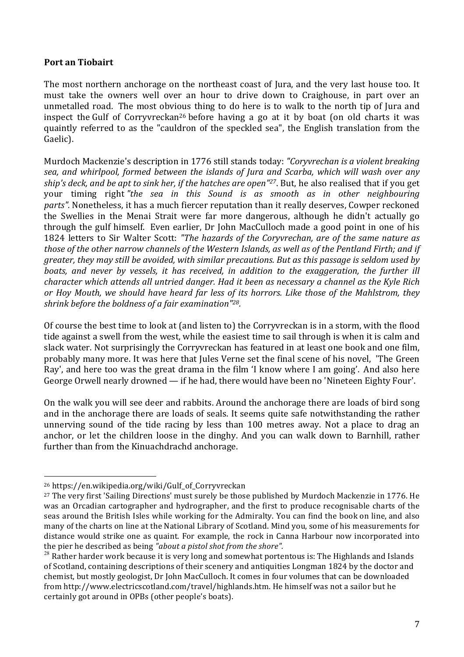#### **Port an Tiobairt**

The most northern anchorage on the northeast coast of Jura, and the very last house too. It must take the owners well over an hour to drive down to Craighouse, in part over an unmetalled road. The most obvious thing to do here is to walk to the north tip of Jura and inspect the Gulf of Corryvreckan26 before having a go at it by boat (on old charts it was quaintly referred to as the "cauldron of the speckled sea", the English translation from the Gaelic).

Murdoch Mackenzie's description in 1776 still stands today: *"Coryvrechan is a violent breaking sea, and whirlpool, formed between the islands of Jura and Scarba, which will wash over any ship's deck, and be apt to sink her, if the hatches are open"27*. But, he also realised that if you get your timing right *"the sea in this Sound is as smooth as in other neighbouring parts".* Nonetheless, it has a much fiercer reputation than it really deserves, Cowper reckoned the Swellies in the Menai Strait were far more dangerous, although he didn't actually go through the gulf himself. Even earlier, Dr John MacCulloch made a good point in one of his 1824 letters to Sir Walter Scott: *"The hazards of the Coryvrechan, are of the same nature as* those of the other narrow channels of the Western Islands, as well as of the Pentland Firth; and if *greater, they may still be avoided, with similar precautions. But as this passage is seldom used by boats, and never by vessels, it has received, in addition to the exaggeration, the further ill character which attends all untried danger. Had it been as necessary a channel as the Kyle Rich or Hoy Mouth, we should have heard far less of its horrors. Like those of the Mahlstrom, they shrink before the boldness of a fair examination"28.*

Of course the best time to look at (and listen to) the Corryvreckan is in a storm, with the flood tide against a swell from the west, while the easiest time to sail through is when it is calm and slack water. Not surprisingly the Corryvreckan has featured in at least one book and one film, probably many more. It was here that Jules Verne set the final scene of his novel, 'The Green Ray', and here too was the great drama in the film 'I know where I am going'. And also here George Orwell nearly drowned — if he had, there would have been no 'Nineteen Eighty Four'.

On the walk you will see deer and rabbits. Around the anchorage there are loads of bird song and in the anchorage there are loads of seals. It seems quite safe notwithstanding the rather unnerving sound of the tide racing by less than 100 metres away. Not a place to drag an anchor, or let the children loose in the dinghy. And you can walk down to Barnhill, rather further than from the Kinuachdrachd anchorage.

<sup>26</sup> https://en.wikipedia.org/wiki/Gulf\_of\_Corryvreckan

<sup>27</sup> The very first 'Sailing Directions' must surely be those published by Murdoch Mackenzie in 1776. He was an Orcadian cartographer and hydrographer, and the first to produce recognisable charts of the seas around the British Isles while working for the Admiralty. You can find the book on line, and also many of the charts on line at the National Library of Scotland. Mind you, some of his measurements for distance would strike one as quaint. For example, the rock in Canna Harbour now incorporated into the pier he described as being *"about a pistol shot from the shore".*

 $28$  Rather harder work because it is very long and somewhat portentous is: The Highlands and Islands of Scotland, containing descriptions of their scenery and antiquities Longman 1824 by the doctor and chemist, but mostly geologist, Dr John MacCulloch. It comes in four volumes that can be downloaded from http://www.electricscotland.com/travel/highlands.htm. He himself was not a sailor but he certainly got around in OPBs (other people's boats).